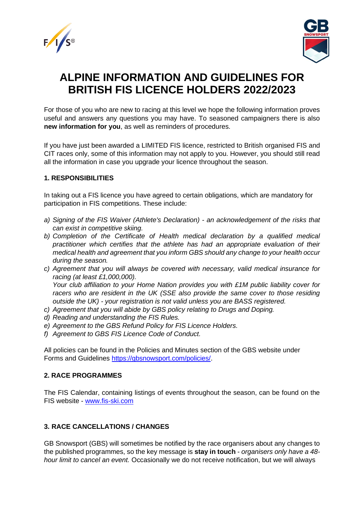



# **ALPINE INFORMATION AND GUIDELINES FOR BRITISH FIS LICENCE HOLDERS 2022/2023**

For those of you who are new to racing at this level we hope the following information proves useful and answers any questions you may have. To seasoned campaigners there is also **new information for you**, as well as reminders of procedures.

If you have just been awarded a LIMITED FIS licence, restricted to British organised FIS and CIT races only, some of this information may not apply to you. However, you should still read all the information in case you upgrade your licence throughout the season.

# **1. RESPONSIBILITIES**

In taking out a FIS licence you have agreed to certain obligations, which are mandatory for participation in FIS competitions. These include:

- *a) Signing of the FIS Waiver (Athlete's Declaration) - an acknowledgement of the risks that can exist in competitive skiing.*
- *b) Completion of the Certificate of Health medical declaration by a qualified medical practitioner which certifies that the athlete has had an appropriate evaluation of their medical health and agreement that you inform GBS should any change to your health occur during the season.*
- *c) Agreement that you will always be covered with necessary, valid medical insurance for racing (at least £1,000,000). Your club affiliation to your Home Nation provides you with £1M public liability cover for racers who are resident in the UK (SSE also provide the same cover to those residing outside the UK) - your registration is not valid unless you are BASS registered.*
- *c) Agreement that you will abide by GBS policy relating to Drugs and Doping.*
- *d) Reading and understanding the FIS Rules.*
- *e) Agreement to the GBS Refund Policy for FIS Licence Holders.*
- *f) Agreement to GBS FIS Licence Code of Conduct.*

All policies can be found in the Policies and Minutes section of the GBS website under Forms and Guidelines [https://gbsnowsport.com/policies/.](https://gbsnowsport.com/policies/)

#### **2. RACE PROGRAMMES**

The FIS Calendar, containing listings of events throughout the season, can be found on the FIS website - [www.fis-ski.com](http://www.fis-ski.com/)

# **3. RACE CANCELLATIONS / CHANGES**

GB Snowsport (GBS) will sometimes be notified by the race organisers about any changes to the published programmes, so the key message is **stay in touch** - *organisers only have a 48 hour limit to cancel an event.* Occasionally we do not receive notification, but we will always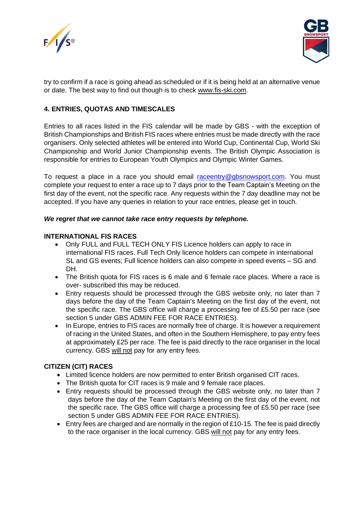



try to confirm if a race is going ahead as scheduled or if it is being held at an alternative venue or date. The best way to find out though is to check [www.fis-ski.com.](http://www.fis-ski.com/)

# **4. ENTRIES, QUOTAS AND TIMESCALES**

Entries to all races listed in the FIS calendar will be made by GBS - with the exception of British Championships and British FIS races where entries must be made directly with the race organisers. Only selected athletes will be entered into World Cup, Continental Cup, World Ski Championship and World Junior Championship events. The British Olympic Association is responsible for entries to European Youth Olympics and Olympic Winter Games.

To request a place in a race you should email [raceentry@gbsnowsport.com.](mailto:raceentry@gbsnowsport.com) You must complete your request to enter a race up to 7 days prior to the Team Captain's Meeting on the first day of the event, not the specific race. Any requests within the 7 day deadline may not be accepted. If you have any queries in relation to your race entries, please get in touch.

#### *We regret that we cannot take race entry requests by telephone.*

#### **INTERNATIONAL FIS RACES**

- Only FULL and FULL TECH ONLY FIS Licence holders can apply to race in international FIS races. Full Tech Only licence holders can compete in international SL and GS events; Full licence holders can also compete in speed events – SG and DH.
- The British quota for FIS races is 6 male and 6 female race places. Where a race is over- subscribed this may be reduced.
- Entry requests should be processed through the GBS website only, no later than 7 days before the day of the Team Captain's Meeting on the first day of the event, not the specific race. The GBS office will charge a processing fee of £5.50 per race (see section 5 under GBS ADMIN FEE FOR RACE ENTRIES).
- In Europe, entries to FIS races are normally free of charge. It is however a requirement of racing in the United States, and often in the Southern Hemisphere, to pay entry fees at approximately £25 per race. The fee is paid directly to the race organiser in the local currency. GBS will not pay for any entry fees.

#### **CITIZEN (CIT) RACES**

- Limited licence holders are now permitted to enter British organised CIT races.
- The British quota for CIT races is 9 male and 9 female race places.
- Entry requests should be processed through the GBS website only, no later than 7 days before the day of the Team Captain's Meeting on the first day of the event, not the specific race. The GBS office will charge a processing fee of £5.50 per race (see section 5 under GBS ADMIN FEE FOR RACE ENTRIES).
- Entry fees are charged and are normally in the region of £10-15. The fee is paid directly to the race organiser in the local currency. GBS will not pay for any entry fees.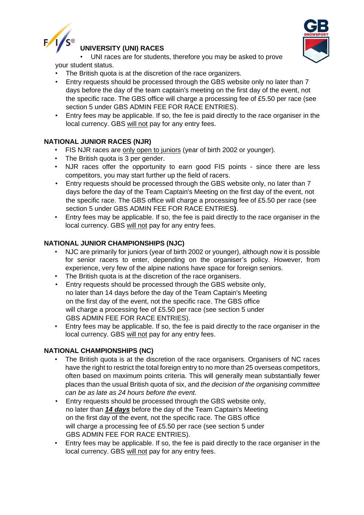

# **UNIVERSITY (UNI) RACES**



• UNI races are for students, therefore you may be asked to prove your student status.

- The British quota is at the discretion of the race organizers.
- Entry requests should be processed through the GBS website only no later than 7 days before the day of the team captain's meeting on the first day of the event, not the specific race. The GBS office will charge a processing fee of £5.50 per race (see section 5 under GBS ADMIN FEE FOR RACE ENTRIES).
- Entry fees may be applicable. If so, the fee is paid directly to the race organiser in the local currency. GBS will not pay for any entry fees.

# **NATIONAL JUNIOR RACES (NJR)**

- FIS NJR races are only open to juniors (year of birth 2002 or younger).
- The British quota is 3 per gender.
- NJR races offer the opportunity to earn good FIS points since there are less competitors, you may start further up the field of racers.
- Entry requests should be processed through the GBS website only, no later than 7 days before the day of the Team Captain's Meeting on the first day of the event, not the specific race. The GBS office will charge a processing fee of £5.50 per race (see section 5 under GBS ADMIN FEE FOR RACE ENTRIES**)**.
- Entry fees may be applicable. If so, the fee is paid directly to the race organiser in the local currency. GBS will not pay for any entry fees.

# **NATIONAL JUNIOR CHAMPIONSHIPS (NJC)**

- NJC are primarily for juniors (year of birth 2002 or younger), although now it is possible for senior racers to enter, depending on the organiser's policy. However, from experience, very few of the alpine nations have space for foreign seniors.
- The British quota is at the discretion of the race organisers.
- Entry requests should be processed through the GBS website only, no later than 14 days before the day of the Team Captain's Meeting on the first day of the event, not the specific race. The GBS office will charge a processing fee of £5.50 per race (see section 5 under GBS ADMIN FEE FOR RACE ENTRIES).
- Entry fees may be applicable. If so, the fee is paid directly to the race organiser in the local currency. GBS will not pay for any entry fees.

# **NATIONAL CHAMPIONSHIPS (NC)**

- The British quota is at the discretion of the race organisers. Organisers of NC races have the right to restrict the total foreign entry to no more than 25 overseas competitors, often based on maximum points criteria. This will generally mean substantially fewer places than the usual British quota of six, and *the decision of the organising committee can be as late as 24 hours before the event.*
- Entry requests should be processed through the GBS website only, no later than *14 days* before the day of the Team Captain's Meeting on the first day of the event, not the specific race. The GBS office will charge a processing fee of £5.50 per race (see section 5 under GBS ADMIN FEE FOR RACE ENTRIES).
- Entry fees may be applicable. If so, the fee is paid directly to the race organiser in the local currency. GBS will not pay for any entry fees.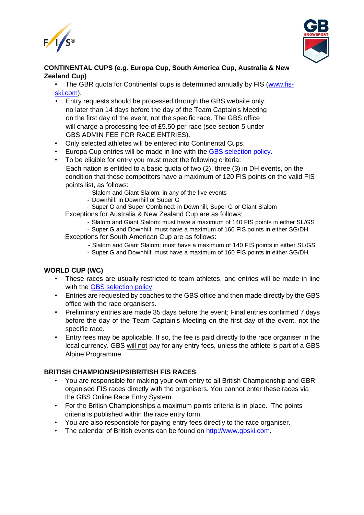



# **CONTINENTAL CUPS (e.g. Europa Cup, South America Cup, Australia & New Zealand Cup)**

• The GBR quota for Continental cups is determined annually by FIS [\(www.fis](http://www.fis-ski.com/)[ski.com\)](http://www.fis-ski.com/).

- Entry requests should be processed through the GBS website only, no later than 14 days before the day of the Team Captain's Meeting on the first day of the event, not the specific race. The GBS office will charge a processing fee of £5.50 per race (see section 5 under GBS ADMIN FEE FOR RACE ENTRIES).
- Only selected athletes will be entered into Continental Cups.
- Europa Cup entries will be made in line with the [GBS selection policy.](https://gbsnowsport.com/wp-content/uploads/2020/11/Selection-Policy-v1.4.2.pdf)
- To be eligible for entry you must meet the following criteria: Each nation is entitled to a basic quota of two (2), three (3) in DH events, on the condition that these competitors have a maximum of 120 FIS points on the valid FIS points list, as follows:
	- Slalom and Giant Slalom: in any of the five events
	- Downhill: in Downhill or Super G

- Super G and Super Combined: in Downhill, Super G or Giant Slalom Exceptions for Australia & New Zealand Cup are as follows:

- Slalom and Giant Slalom: must have a maximum of 140 FIS points in either SL/GS

- Super G and Downhill: must have a maximum of 160 FIS points in either SG/DH Exceptions for South American Cup are as follows:

- Slalom and Giant Slalom: must have a maximum of 140 FIS points in either SL/GS

- Super G and Downhill: must have a maximum of 160 FIS points in either SG/DH

# **WORLD CUP (WC)**

- These races are usually restricted to team athletes, and entries will be made in line with the [GBS selection policy.](https://gbsnowsport.com/wp-content/uploads/2020/11/Selection-Policy-v1.4.2.pdf)
- Entries are requested by coaches to the GBS office and then made directly by the GBS office with the race organisers.
- Preliminary entries are made 35 days before the event; Final entries confirmed 7 days before the day of the Team Captain's Meeting on the first day of the event, not the specific race.
- Entry fees may be applicable. If so, the fee is paid directly to the race organiser in the local currency. GBS will not pay for any entry fees, unless the athlete is part of a GBS Alpine Programme.

#### **BRITISH CHAMPIONSHIPS/BRITISH FIS RACES**

- You are responsible for making your own entry to all British Championship and GBR organised FIS races directly with the organisers. You cannot enter these races via the GBS Online Race Entry System.
- For the British Championships a maximum points criteria is in place. The points criteria is published within the race entry form.
- You are also responsible for paying entry fees directly to the race organiser.
- The calendar of British events can be found on [http://www.gbski.com.](http://www.gbski.com/)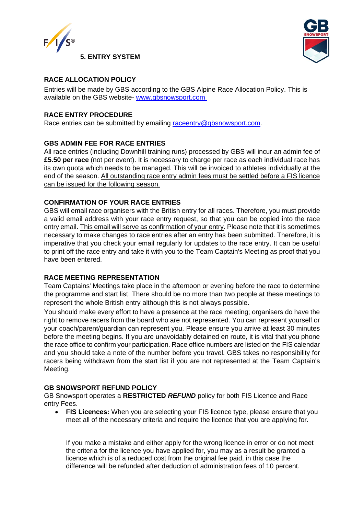

# **5. ENTRY SYSTEM**

# **RACE ALLOCATION POLICY**

Entries will be made by GBS according to the GBS Alpine Race Allocation Policy. This is available on the GBS website- [www.gbsnowsport.com](http://www.gbsnowsport.com./)

# **RACE ENTRY PROCEDURE**

Race entries can be submitted by emailing [raceentry@gbsnowsport.com.](mailto:raceentry@gbsnowsport.com)

# **GBS ADMIN FEE FOR RACE ENTRIES**

All race entries (including Downhill training runs) processed by GBS will incur an admin fee of **£5.50 per race** (not per event). It is necessary to charge per race as each individual race has its own quota which needs to be managed. This will be invoiced to athletes individually at the end of the season. All outstanding race entry admin fees must be settled before a FIS licence can be issued for the following season.

# **CONFIRMATION OF YOUR RACE ENTRIES**

GBS will email race organisers with the British entry for all races. Therefore, you must provide a valid email address with your race entry request, so that you can be copied into the race entry email. This email will serve as confirmation of your entry. Please note that it is sometimes necessary to make changes to race entries after an entry has been submitted. Therefore, it is imperative that you check your email regularly for updates to the race entry. It can be useful to print off the race entry and take it with you to the Team Captain's Meeting as proof that you have been entered.

#### **RACE MEETING REPRESENTATION**

Team Captains' Meetings take place in the afternoon or evening before the race to determine the programme and start list. There should be no more than two people at these meetings to represent the whole British entry although this is not always possible.

You should make every effort to have a presence at the race meeting; organisers do have the right to remove racers from the board who are not represented. You can represent yourself or your coach/parent/guardian can represent you. Please ensure you arrive at least 30 minutes before the meeting begins. If you are unavoidably detained en route, it is vital that you phone the race office to confirm your participation. Race office numbers are listed on the FIS calendar and you should take a note of the number before you travel. GBS takes no responsibility for racers being withdrawn from the start list if you are not represented at the Team Captain's Meeting.

#### **GB SNOWSPORT REFUND POLICY**

GB Snowsport operates a **RESTRICTED** *REFUND* policy for both FIS Licence and Race entry Fees.

• **FIS Licences:** When you are selecting your FIS licence type, please ensure that you meet all of the necessary criteria and require the licence that you are applying for.

If you make a mistake and either apply for the wrong licence in error or do not meet the criteria for the licence you have applied for, you may as a result be granted a licence which is of a reduced cost from the original fee paid, in this case the difference will be refunded after deduction of administration fees of 10 percent.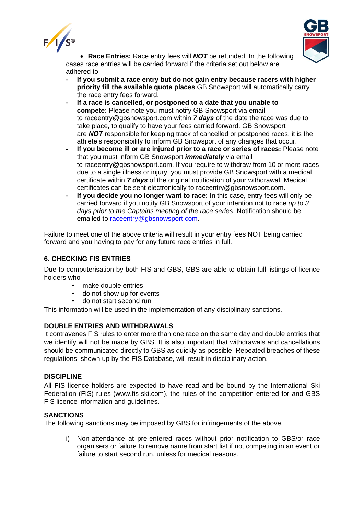



• **Race Entries:** Race entry fees will *NOT* be refunded. In the following cases race entries will be carried forward if the criteria set out below are adhered to:

- **- If you submit a race entry but do not gain entry because racers with higher priority fill the available quota places**.GB Snowsport will automatically carry the race entry fees forward.
- **- If a race is cancelled, or postponed to a date that you unable to compete:** Please note you must notify GB Snowsport via email to raceentry@gbsnowsport.com within *7 days* of the date the race was due to take place, to qualify to have your fees carried forward. GB Snowsport are *NOT* responsible for keeping track of cancelled or postponed races, it is the athlete's responsibility to inform GB Snowsport of any changes that occur.
- **- If you become ill or are injured prior to a race or series of races:** Please note that you must inform GB Snowsport *immediately* via email to raceentry@gbsnowsport.com. If you require to withdraw from 10 or more races due to a single illness or injury, you must provide GB Snowsport with a medical certificate within *7 days* of the original notification of your withdrawal. Medical certificates can be sent electronically to raceentry@gbsnowsport.com.
- **- If you decide you no longer want to race:** In this case, entry fees will only be carried forward if you notify GB Snowsport of your intention not to race *up to 3 days prior to the Captains meeting of the race series*. Notification should be emailed to [raceentry@gbsnowsport.com.](mailto:raceentry@gbsnowsport.com)

Failure to meet one of the above criteria will result in your entry fees NOT being carried forward and you having to pay for any future race entries in full.

# **6. CHECKING FIS ENTRIES**

Due to computerisation by both FIS and GBS, GBS are able to obtain full listings of licence holders who

- make double entries
- do not show up for events
- do not start second run

This information will be used in the implementation of any disciplinary sanctions.

# **DOUBLE ENTRIES AND WITHDRAWALS**

It contravenes FIS rules to enter more than one race on the same day and double entries that we identify will not be made by GBS. It is also important that withdrawals and cancellations should be communicated directly to GBS as quickly as possible. Repeated breaches of these regulations, shown up by the FIS Database, will result in disciplinary action.

#### **DISCIPLINE**

All FIS licence holders are expected to have read and be bound by the International Ski Federation (FIS) rules [\(www.fis-ski.com\)](http://www.fis-ski.com/), the rules of the competition entered for and GBS FIS licence information and guidelines.

#### **SANCTIONS**

The following sanctions may be imposed by GBS for infringements of the above.

i) Non-attendance at pre-entered races without prior notification to GBS/or race organisers or failure to remove name from start list if not competing in an event or failure to start second run, unless for medical reasons.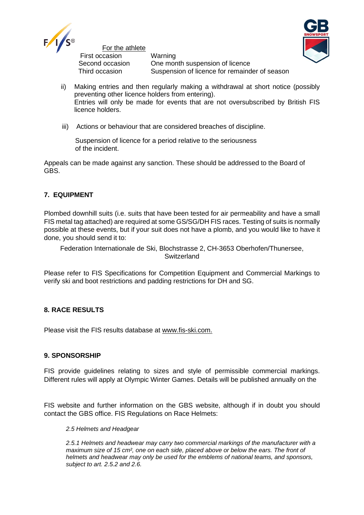

For the athlete

First occasion Warning

Second occasion One month suspension of licence Third occasion Suspension of licence for remainder of season



- ii) Making entries and then regularly making a withdrawal at short notice (possibly preventing other licence holders from entering). Entries will only be made for events that are not oversubscribed by British FIS licence holders.
- iii) Actions or behaviour that are considered breaches of discipline.

Suspension of licence for a period relative to the seriousness of the incident.

Appeals can be made against any sanction. These should be addressed to the Board of GBS.

# **7. EQUIPMENT**

Plombed downhill suits (i.e. suits that have been tested for air permeability and have a small FIS metal tag attached) are required at some GS/SG/DH FIS races. Testing of suits is normally possible at these events, but if your suit does not have a plomb, and you would like to have it done, you should send it to:

Federation Internationale de Ski, Blochstrasse 2, CH-3653 Oberhofen/Thunersee, **Switzerland** 

Please refer to FIS Specifications for Competition Equipment and Commercial Markings to verify ski and boot restrictions and padding restrictions for DH and SG.

# **8. RACE RESULTS**

Please visit the FIS results database at [www.fis-ski.com.](http://www.fis-ski.com/)

# **9. SPONSORSHIP**

FIS provide guidelines relating to sizes and style of permissible commercial markings. Different rules will apply at Olympic Winter Games. Details will be published annually on the

FIS website and further information on the GBS website, although if in doubt you should contact the GBS office. FIS Regulations on Race Helmets:

#### *2.5 Helmets and Headgear*

*2.5.1 Helmets and headwear may carry two commercial markings of the manufacturer with a maximum size of 15 cm², one on each side, placed above or below the ears. The front of helmets and headwear may only be used for the emblems of national teams, and sponsors, subject to art. 2.5.2 and 2.6.*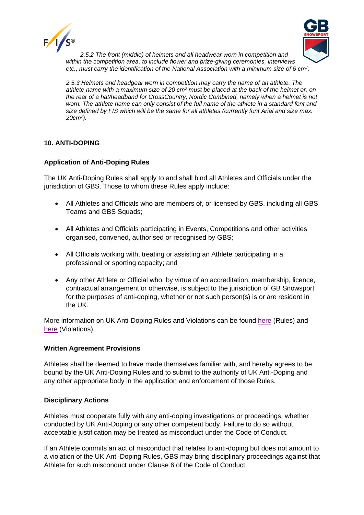



*2.5.2 The front (middle) of helmets and all headwear worn in competition and within the competition area, to include flower and prize-giving ceremonies, interviews etc., must carry the identification of the National Association with a minimum size of 6 cm².*

*2.5.3 Helmets and headgear worn in competition may carry the name of an athlete. The athlete name with a maximum size of 20 cm² must be placed at the back of the helmet or, on the rear of a hat/headband for CrossCountry, Nordic Combined, namely when a helmet is not worn. The athlete name can only consist of the full name of the athlete in a standard font and size defined by FIS which will be the same for all athletes (currently font Arial and size max. 20cm²).*

# **10. ANTI-DOPING**

# **Application of Anti-Doping Rules**

The UK Anti-Doping Rules shall apply to and shall bind all Athletes and Officials under the jurisdiction of GBS. Those to whom these Rules apply include:

- All Athletes and Officials who are members of, or licensed by GBS, including all GBS Teams and GBS Squads;
- All Athletes and Officials participating in Events, Competitions and other activities organised, convened, authorised or recognised by GBS;
- All Officials working with, treating or assisting an Athlete participating in a professional or sporting capacity; and
- Any other Athlete or Official who, by virtue of an accreditation, membership, licence, contractual arrangement or otherwise, is subject to the jurisdiction of GB Snowsport for the purposes of anti-doping, whether or not such person(s) is or are resident in the UK.

More information on UK Anti-Doping Rules and Violations can be found [here](https://www.ukad.org.uk/about/anti-doping-rules) (Rules) and [here](https://www.ukad.org.uk/sites/default/files/2020-12/UKAD%20ADRV%20infographic%20FINAL_0.pdf) (Violations).

#### **Written Agreement Provisions**

Athletes shall be deemed to have made themselves familiar with, and hereby agrees to be bound by the UK Anti-Doping Rules and to submit to the authority of UK Anti-Doping and any other appropriate body in the application and enforcement of those Rules.

#### **Disciplinary Actions**

Athletes must cooperate fully with any anti-doping investigations or proceedings, whether conducted by UK Anti-Doping or any other competent body. Failure to do so without acceptable justification may be treated as misconduct under the Code of Conduct.

If an Athlete commits an act of misconduct that relates to anti-doping but does not amount to a violation of the UK Anti-Doping Rules, GBS may bring disciplinary proceedings against that Athlete for such misconduct under Clause 6 of the Code of Conduct.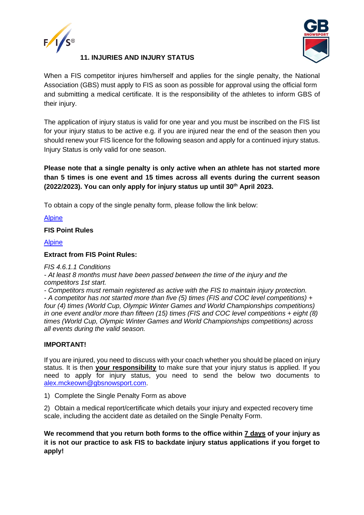



# **11. INJURIES AND INJURY STATUS**

When a FIS competitor injures him/herself and applies for the single penalty, the National Association (GBS) must apply to FIS as soon as possible for approval using the official form and submitting a medical certificate. It is the responsibility of the athletes to inform GBS of their injury.

The application of injury status is valid for one year and you must be inscribed on the FIS list for your injury status to be active e.g. if you are injured near the end of the season then you should renew your FIS licence for the following season and apply for a continued injury status. Injury Status is only valid for one season.

**Please note that a single penalty is only active when an athlete has not started more than 5 times is one event and 15 times across all events during the current season (2022/2023). You can only apply for injury status up until 30th April 2023.**

To obtain a copy of the single penalty form, please follow the link below:

[Alpine](https://gbsnowsport.com/wp-content/uploads/2021/05/FIS-Injury-Form-Alpine.pdf)

**FIS Point Rules**

[Alpine](https://assets.fis-ski.com/image/upload/v1537273909/fis-prod/assets/FIS_Points_Rules_Alpine.pdf)

# **Extract from FIS Point Rules:**

*FIS 4.6.1.1 Conditions*

*- At least 8 months must have been passed between the time of the injury and the competitors 1st start.* 

*- Competitors must remain registered as active with the FIS to maintain injury protection.* 

*- A competitor has not started more than five (5) times (FIS and COC level competitions) + four (4) times (World Cup, Olympic Winter Games and World Championships competitions) in one event and/or more than fifteen (15) times (FIS and COC level competitions + eight (8) times (World Cup, Olympic Winter Games and World Championships competitions) across all events during the valid season.*

# **IMPORTANT!**

If you are injured, you need to discuss with your coach whether you should be placed on injury status. It is then **your responsibility** to make sure that your injury status is applied. If you need to apply for injury status, you need to send the below two documents to [alex.mckeown@gbsnowsport.com.](mailto:alex.mckeown@gbsnowsport.com)

1) Complete the Single Penalty Form as above

2) Obtain a medical report/certificate which details your injury and expected recovery time scale, including the accident date as detailed on the Single Penalty Form.

**We recommend that you return both forms to the office within 7 days of your injury as it is not our practice to ask FIS to backdate injury status applications if you forget to apply!**